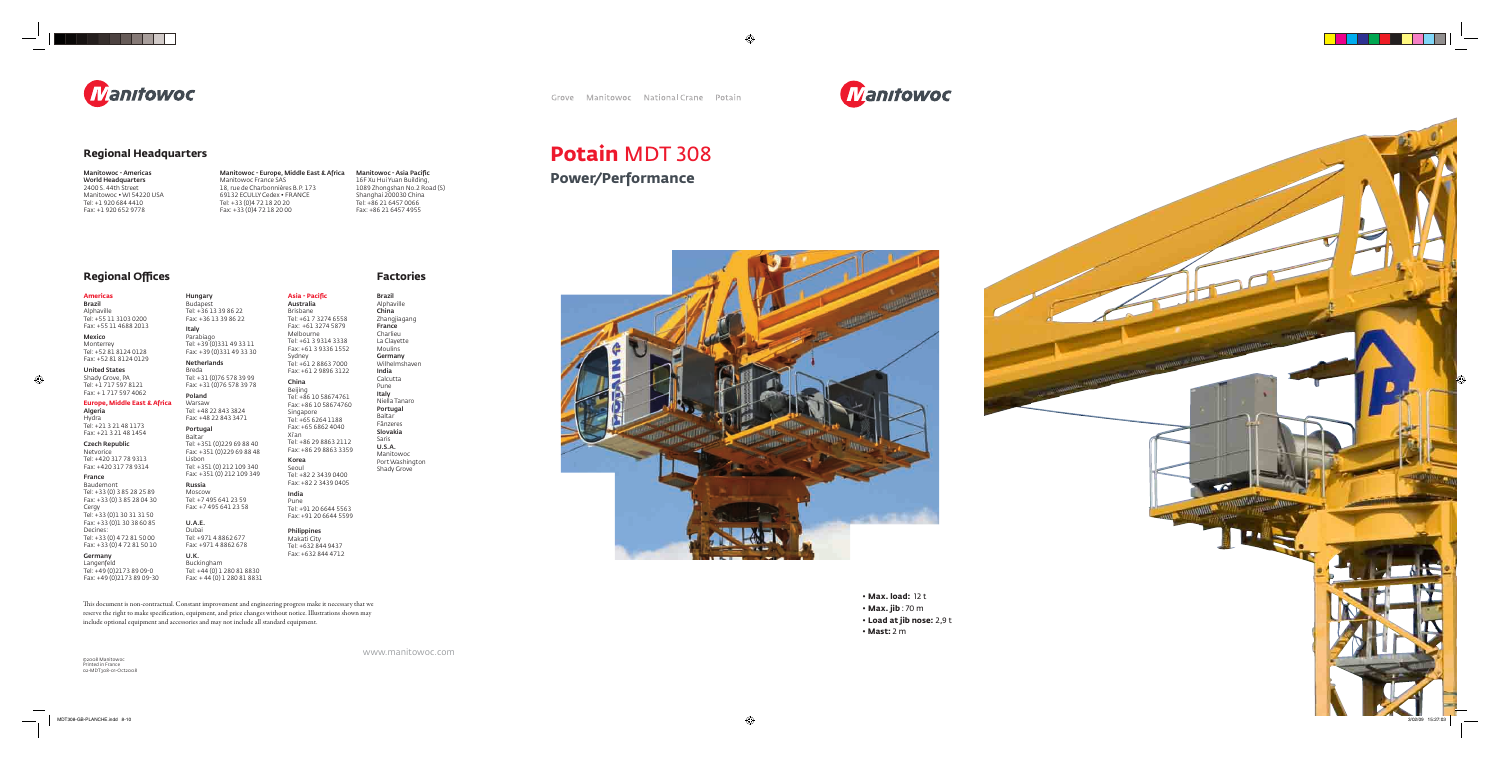

include optional equipment and accessories and may not include all standard equipment.

#### **Americas**

Brazil Alphaville Tel: +55 11 3103 0200 Fax: +55 11 4688 2013

Mexico Monterrey Tel: +52 81 8124 0128

Fax: +52 81 8124 0129 United States Shady Grove, PA

Tel: +1 717 597 8121 Fax: + 1 717 597 4062

#### **Europe, Middle East & Africa**

Algeria Hydra Tel: +21 3 21 48 1173 Fax: +21 3 21 48 1454

#### Czech Republic

Netvorice Tel: +420 317 78 9313 Fax: +420 317 78 9314

#### France

Baudemont Tel: +33 (0) 3 85 28 25 89 Fax: +33 (0) 3 85 28 04 30 Cergy Tel: +33 (0)1 30 31 31 50 Fax: +33 (0)1 30 38 60 85 Decines: Tel: +33 (0) 4 72 81 50 00

Fax: +33 (0) 4 72 81 50 10 Germany

Langenfeld Tel: +49 (0)2173 89 09-0 Fax: +49 (0)2173 89 09-30

Hungary Budapest Tel: +36 13 39 86 22 Fax: +36 13 39 86 22 Italy

Parabiago Tel: +39 (0)331 49 33 11 Fax: +39 (0)331 49 33 30

Netherlands Breda Tel: +31 (0)76 578 39 99 Fax: +31 (0)76 578 39 78

> Manitowoc Port Washington Shady Grove

Poland Warsaw Tel: +48 22 843 3824

Fax: +48 22 843 3471 Portugal Baltar Tel: +351 (0)229 69 88 40 Fax: +351 (0)229 69 88 48 Lisbon Tel: +351 (0) 212 109 340

Fax: +351 (0) 212 109 349 Russia Moscow

Tel: +7 495 641 23 59 Fax: +7 495 641 23 58 Manitowoc - Asia Pacific 16F Xu Hui Yuan Building, 1089 Zhongshan No.2 Road (S) Shanghai 200030 China Tel: +86 21 6457 0066 Fax: +86 21 6457 4955

#### U.A.E. Dubai

Tel: +971 4 8862 677 Fax: +971 4 8862 678 U.K.

Buckingham Tel: +44 (0) 1 280 81 8830 Fax: + 44 (0) 1 280 81 8831

This document is non-contractual. Constant improvement and engineering progress make it necessary that we reserve the right to make specification, equipment, and price changes without notice. Illustrations shown may

Australia Brisbane Tel: +61 7 3274 6558 Fax: +61 3274 5879 Melbourne Tel: +61 3 9314 3338 Fax: +61 3 9336 1552 Sydney Tel: +61 2 8863 7000 Fax: +61 2 9896 3122 China Beijing Tel: +86 10 58674761 Fax: +86 10 58674760 Singapore Tel: +65 6264 1188

**Asia - Pacific** 

Fax: +65 6862 4040 Xi'an Tel: +86 29 8863 2112 Fax: +86 29 8863 3359

Korea Seoul Tel: +82 2 3439 0400

#### Fax: +82 2 3439 0405 India

Pune Tel: +91 20 6644 5563 Fax: +91 20 6644 5599

Philippines Makati City Tel: +632 844 9437 Fax: +632 844 4712 Brazil

Alphaville China Zhangjiagang France Charlieu La Clayette Moulins Germany Wilhelmshaven India Calcutta Pune Italy Niella Tanaro Portugal **Baltar** Fânzeres Slovakia Saris U.S.A.

#### **Regional Offi ces Factories**

www.manitowoc.com



Manitowoc - Americas World Headquarters 2400 S. 44th Street Manitowoc • WI 54220 USA Tel: +1 920 684 4410 Fax: +1 920 652 9778

Manitowoc - Europe, Middle East & Africa Manitowoc France SAS 18, rue de Charbonnières B.P. 173 69132 ECULLY Cedex • FRANCE Tel: +33 (0)4 72 18 20 20 Fax: +33 (0)4 72 18 20 00

#### **Regional Headquarters**



## **Potain** MDT 308 **Power/Performance**

- **Max. load:** 12 t
- **Max. jib** : 70 m
- **Load at jib nose:** 2,9 t

 $\sqrt{2}$ 

• **Mast:** 2 m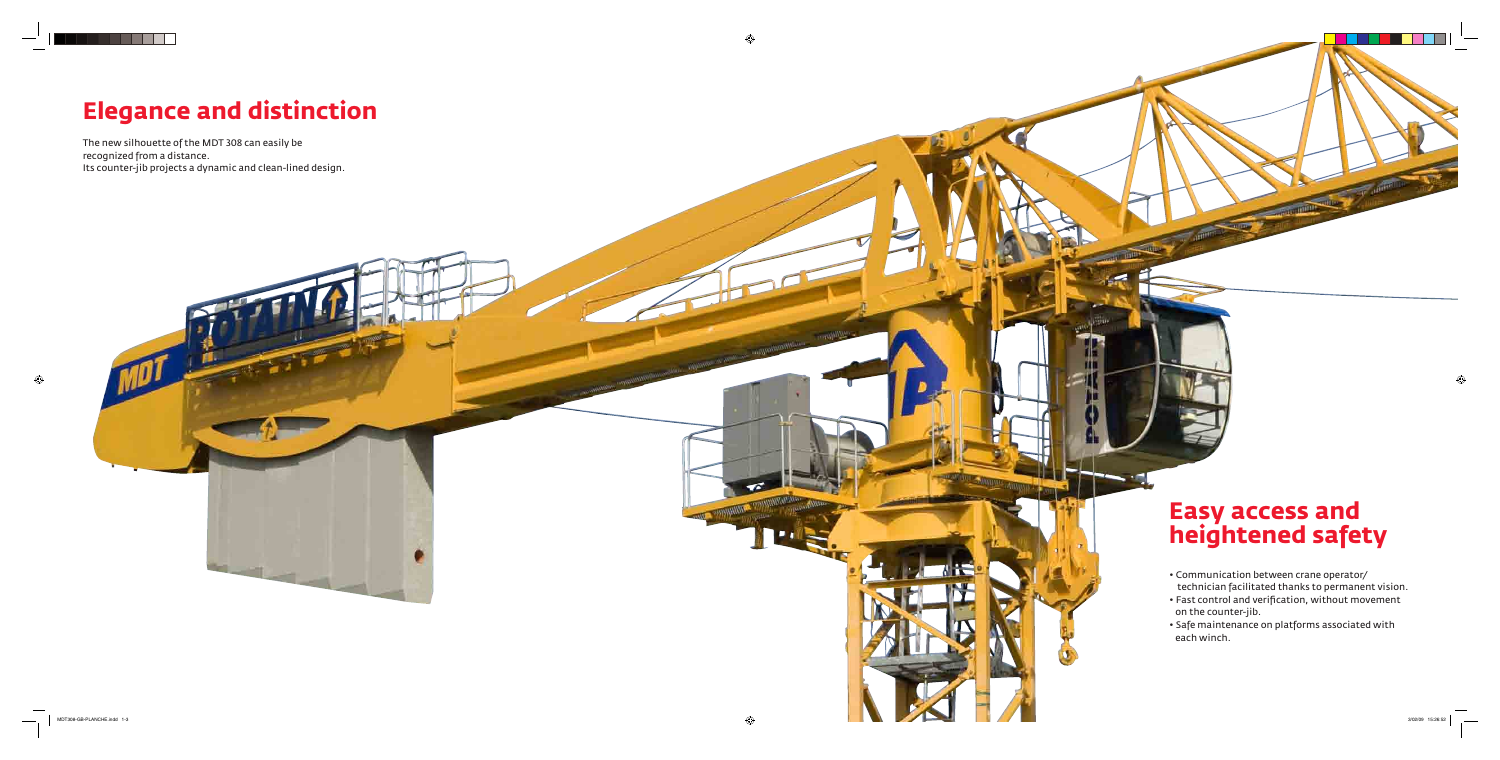The new silhouette of the MDT 308 can easily be recognized from a distance. Its counter-jib projects a dynamic and clean-lined design.



# **Elegance and distinction**

- Communication between crane operator/ technician facilitated thanks to permanent vision.
- Fast control and verification, without movement on the counter-jib.
- Safe maintenance on platforms associated with each winch.

# **Easy access and heightened safety**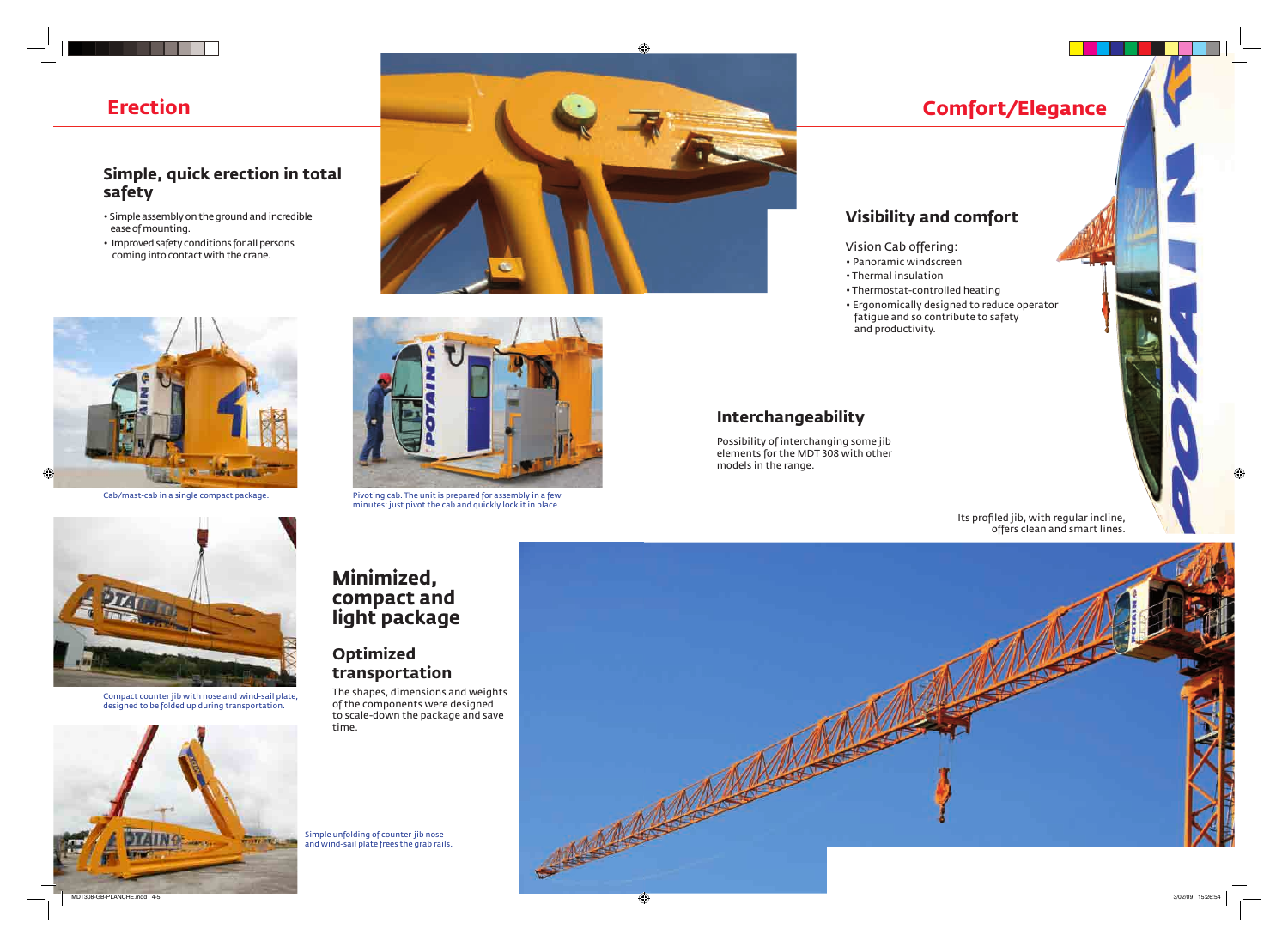## **Comfort/Elegance**

## **Visibility and comfort**

- Vision Cab offering:
- Panoramic windscreen
- Thermal insulation
- fatigue and so contribute to safety and productivity.

• Thermostat-controlled heating • Ergonomically designed to reduce operator

> Its profiled jib, with regular incline, offers clean and smart lines.

### **Interchangeability**

Possibility of interchanging some jib elements for the MDT 308 with other models in the range.

#### **Simple, quick erection in total safety**

- Simple assembly on the ground and incredible ease of mounting.
- Improved safety conditions for all persons coming into contact with the crane.





## **Minimized, compact and light package**

#### **Optimized transportation**

The shapes, dimensions and weights of the components were designed to scale-down the package and save time.

## **Erection**



Cab/mast-cab in a single compact package. Pivoting cab. The unit is prepared for assembly in a few minutes: just pivot the cab and quickly lock it in place.



Compact counter jib with nose and wind-sail plate, designed to be folded up during transportation.



Simple unfolding of counter-jib nose and wind-sail plate frees the grab rails.